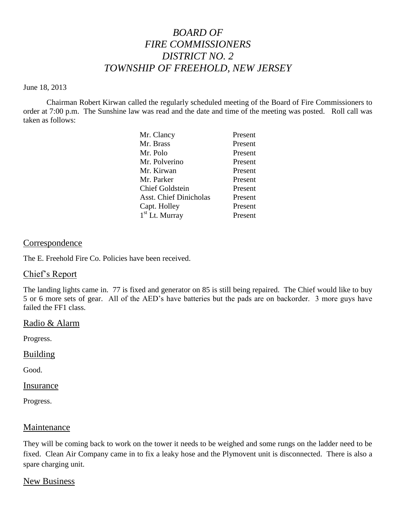# *BOARD OF FIRE COMMISSIONERS DISTRICT NO. 2 TOWNSHIP OF FREEHOLD, NEW JERSEY*

#### June 18, 2013

Chairman Robert Kirwan called the regularly scheduled meeting of the Board of Fire Commissioners to order at 7:00 p.m. The Sunshine law was read and the date and time of the meeting was posted. Roll call was taken as follows:

| Mr. Clancy                    | Present |
|-------------------------------|---------|
| Mr. Brass                     | Present |
| Mr. Polo                      | Present |
| Mr. Polverino                 | Present |
| Mr. Kirwan                    | Present |
| Mr. Parker                    | Present |
| <b>Chief Goldstein</b>        | Present |
| <b>Asst. Chief Dinicholas</b> | Present |
| Capt. Holley                  | Present |
| $1st$ Lt. Murray              | Present |

# Correspondence

The E. Freehold Fire Co. Policies have been received.

## Chief's Report

The landing lights came in. 77 is fixed and generator on 85 is still being repaired. The Chief would like to buy 5 or 6 more sets of gear. All of the AED's have batteries but the pads are on backorder. 3 more guys have failed the FF1 class.

## Radio & Alarm

Progress.

## Building

Good.

#### Insurance

Progress.

## Maintenance

They will be coming back to work on the tower it needs to be weighed and some rungs on the ladder need to be fixed. Clean Air Company came in to fix a leaky hose and the Plymovent unit is disconnected. There is also a spare charging unit.

## New Business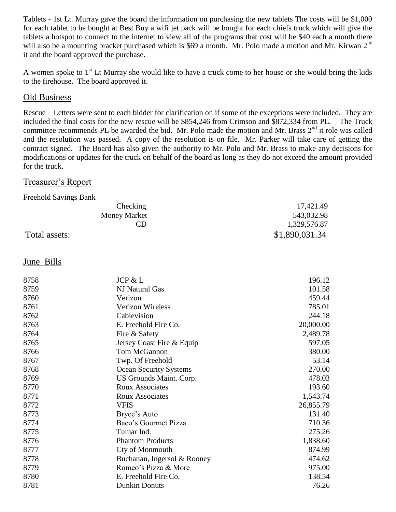Tablets - 1st Lt. Murray gave the board the information on purchasing the new tablets The costs will be \$1,000 for each tablet to be bought at Best Buy a wifi jet pack will be bought for each chiefs truck which will give the tablets a hotspot to connect to the internet to view all of the programs that cost will be \$40 each a month there will also be a mounting bracket purchased which is \$69 a month. Mr. Polo made a motion and Mr. Kirwan 2<sup>nd</sup> it and the board approved the purchase.

A women spoke to  $1<sup>st</sup>$  Lt Murray she would like to have a truck come to her house or she would bring the kids to the firehouse. The board approved it.

## Old Business

Rescue – Letters were sent to each bidder for clarification on if some of the exceptions were included. They are included the final costs for the new rescue will be \$854,246 from Crimson and \$872,334 from PL. The Truck committee recommends PL be awarded the bid. Mr. Polo made the motion and Mr. Brass  $2<sup>nd</sup>$  it role was called and the resolution was passed. A copy of the resolution is on file. Mr. Parker will take care of getting the contract signed. The Board has also given the authority to Mr. Polo and Mr. Brass to make any decisions for modifications or updates for the truck on behalf of the board as long as they do not exceed the amount provided for the truck.

## Treasurer's Report

Freehold Savings Bank

| Checking            | 17,421.49      |
|---------------------|----------------|
| <b>Money Market</b> | 543,032.98     |
| CD                  | 1,329,576.87   |
| Total assets:       | \$1,890,031.34 |

## June Bills

| 8758 | JCP & L                       | 196.12    |
|------|-------------------------------|-----------|
| 8759 | NJ Natural Gas                | 101.58    |
| 8760 | Verizon                       | 459.44    |
| 8761 | <b>Verizon Wireless</b>       | 785.01    |
| 8762 | Cablevision                   | 244.18    |
| 8763 | E. Freehold Fire Co.          | 20,000.00 |
| 8764 | Fire & Safety                 | 2,489.78  |
| 8765 | Jersey Coast Fire & Equip     | 597.05    |
| 8766 | Tom McGannon                  | 380.00    |
| 8767 | Twp. Of Freehold              | 53.14     |
| 8768 | <b>Ocean Security Systems</b> | 270.00    |
| 8769 | US Grounds Maint. Corp.       | 478.03    |
| 8770 | <b>Roux Associates</b>        | 193.60    |
| 8771 | <b>Roux Associates</b>        | 1,543.74  |
| 8772 | <b>VFIS</b>                   | 26,855.79 |
| 8773 | Bryce's Auto                  | 131.40    |
| 8774 | Baco's Gourmet Pizza          | 710.36    |
| 8775 | Tumar Ind.                    | 275.26    |
| 8776 | <b>Phantom Products</b>       | 1,838.60  |
| 8777 | Cty of Monmouth               | 874.99    |
| 8778 | Buchanan, Ingersol & Rooney   | 474.62    |
| 8779 | Romeo's Pizza & More          | 975.00    |
| 8780 | E. Freehold Fire Co.          | 138.54    |
| 8781 | <b>Dunkin Donuts</b>          | 76.26     |